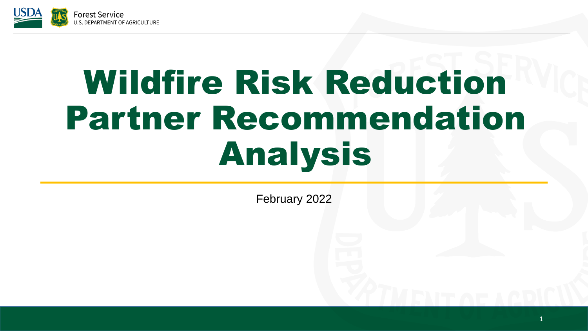

# Wildfire Risk Reduction Partner Recommendation Analysis

February 2022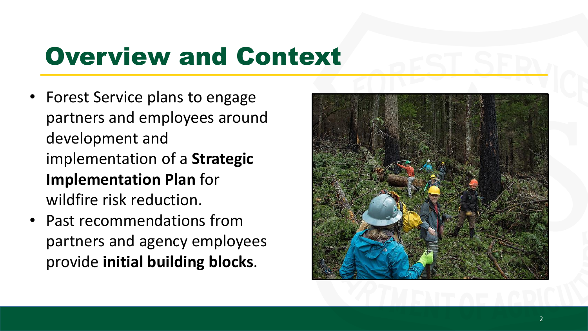### Overview and Context

- Forest Service plans to engage partners and employees around development and implementation of a **Strategic Implementation Plan** for wildfire risk reduction.
- Past recommendations from partners and agency employees provide **initial building blocks**.

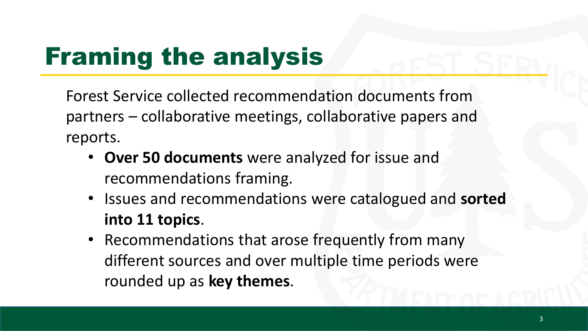### Framing the analysis

Forest Service collected recommendation documents from partners – collaborative meetings, collaborative papers and reports.

- **Over 50 documents** were analyzed for issue and recommendations framing.
- Issues and recommendations were catalogued and **sorted into 11 topics**.
- Recommendations that arose frequently from many different sources and over multiple time periods were rounded up as **key themes**.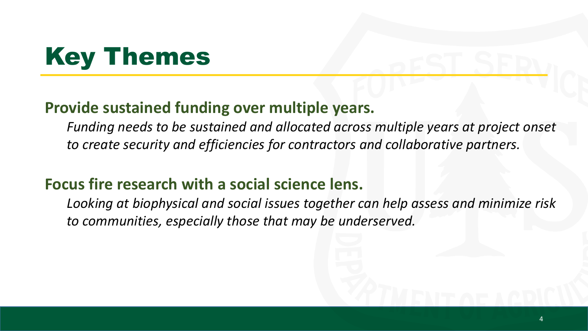### Key Themes

#### **Provide sustained funding over multiple years.**

*Funding needs to be sustained and allocated across multiple years at project onset to create security and efficiencies for contractors and collaborative partners.*

#### **Focus fire research with a social science lens.**

*Looking at biophysical and social issues together can help assess and minimize risk to communities, especially those that may be underserved.*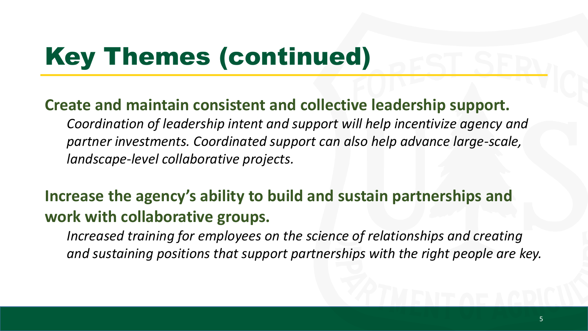## Key Themes (continued)

#### **Create and maintain consistent and collective leadership support.**

*Coordination of leadership intent and support will help incentivize agency and partner investments. Coordinated support can also help advance large-scale, landscape-level collaborative projects.*

#### **Increase the agency's ability to build and sustain partnerships and work with collaborative groups.**

*Increased training for employees on the science of relationships and creating and sustaining positions that support partnerships with the right people are key.*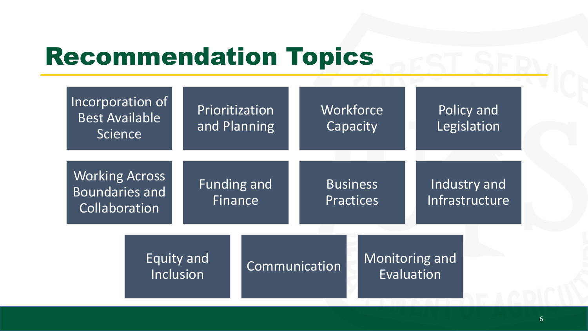### Recommendation Topics

| Incorporation of<br><b>Best Available</b><br>Science            |                         | Prioritization<br>and Planning |               | Workforce<br>Capacity               |  | Policy and<br>Legislation      |  |
|-----------------------------------------------------------------|-------------------------|--------------------------------|---------------|-------------------------------------|--|--------------------------------|--|
| <b>Working Across</b><br><b>Boundaries and</b><br>Collaboration |                         | Funding and<br>Finance         |               | <b>Business</b><br><b>Practices</b> |  | Industry and<br>Infrastructure |  |
|                                                                 | Equity and<br>Inclusion |                                | Communication |                                     |  | Monitoring and<br>Evaluation   |  |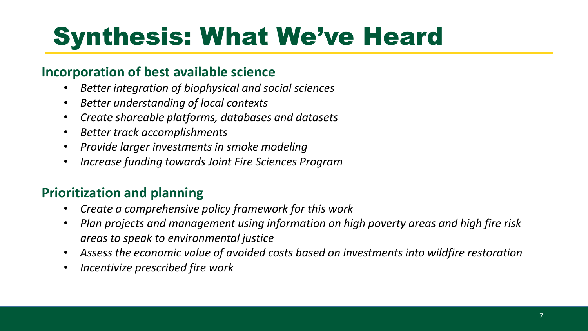#### **Incorporation of best available science**

- *Better integration of biophysical and social sciences*
- *Better understanding of local contexts*
- *Create shareable platforms, databases and datasets*
- *Better track accomplishments*
- *Provide larger investments in smoke modeling*
- *Increase funding towards Joint Fire Sciences Program*

#### **Prioritization and planning**

- *Create a comprehensive policy framework for this work*
- *Plan projects and management using information on high poverty areas and high fire risk areas to speak to environmental justice*
- *Assess the economic value of avoided costs based on investments into wildfire restoration*
- *Incentivize prescribed fire work*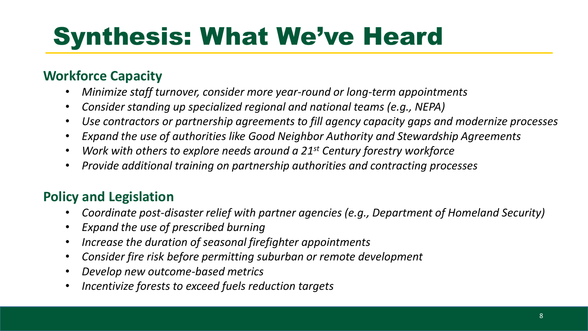#### **Workforce Capacity**

- *Minimize staff turnover, consider more year-round or long-term appointments*
- *Consider standing up specialized regional and national teams (e.g., NEPA)*
- *Use contractors or partnership agreements to fill agency capacity gaps and modernize processes*
- *Expand the use of authorities like Good Neighbor Authority and Stewardship Agreements*
- *Work with others to explore needs around a 21st Century forestry workforce*
- *Provide additional training on partnership authorities and contracting processes*

#### **Policy and Legislation**

- *Coordinate post-disaster relief with partner agencies (e.g., Department of Homeland Security)*
- *Expand the use of prescribed burning*
- *Increase the duration of seasonal firefighter appointments*
- *Consider fire risk before permitting suburban or remote development*
- *Develop new outcome-based metrics*
- *Incentivize forests to exceed fuels reduction targets*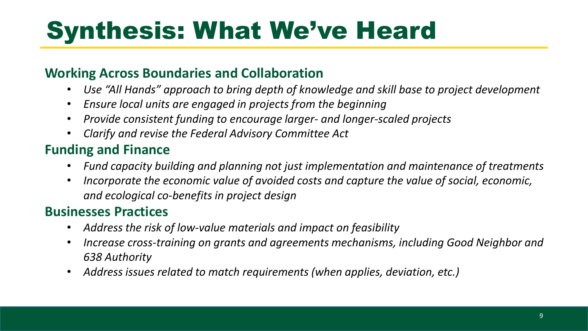#### **Working Across Boundaries and Collaboration**

- *Use "All Hands" approach to bring depth of knowledge and skill base to project development*
- *Ensure local units are engaged in projects from the beginning*
- *Provide consistent funding to encourage larger- and longer-scaled projects*
- *Clarify and revise the Federal Advisory Committee Act*

#### **Funding and Finance**

- *Fund capacity building and planning not just implementation and maintenance of treatments*
- *Incorporate the economic value of avoided costs and capture the value of social, economic, and ecological co-benefits in project design*

#### **Businesses Practices**

- *Address the risk of low-value materials and impact on feasibility*
- *Increase cross-training on grants and agreements mechanisms, including Good Neighbor and 638 Authority*
- *Address issues related to match requirements (when applies, deviation, etc.)*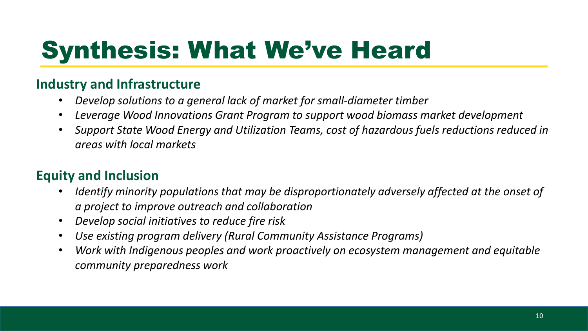#### **Industry and Infrastructure**

- *Develop solutions to a general lack of market for small-diameter timber*
- *Leverage Wood Innovations Grant Program to support wood biomass market development*
- *Support State Wood Energy and Utilization Teams, cost of hazardous fuels reductions reduced in areas with local markets*

#### **Equity and Inclusion**

- *Identify minority populations that may be disproportionately adversely affected at the onset of a project to improve outreach and collaboration*
- *Develop social initiatives to reduce fire risk*
- *Use existing program delivery (Rural Community Assistance Programs)*
- *Work with Indigenous peoples and work proactively on ecosystem management and equitable community preparedness work*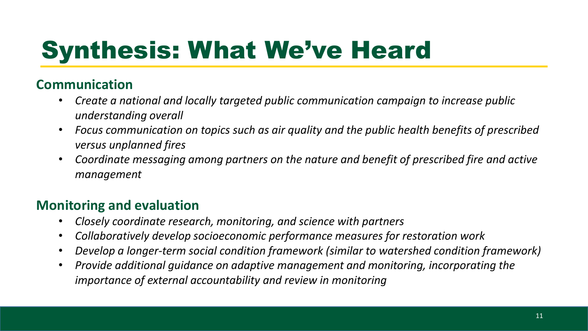#### **Communication**

- *Create a national and locally targeted public communication campaign to increase public understanding overall*
- *Focus communication on topics such as air quality and the public health benefits of prescribed versus unplanned fires*
- *Coordinate messaging among partners on the nature and benefit of prescribed fire and active management*

#### **Monitoring and evaluation**

- *Closely coordinate research, monitoring, and science with partners*
- *Collaboratively develop socioeconomic performance measures for restoration work*
- *Develop a longer-term social condition framework (similar to watershed condition framework)*
- *Provide additional guidance on adaptive management and monitoring, incorporating the importance of external accountability and review in monitoring*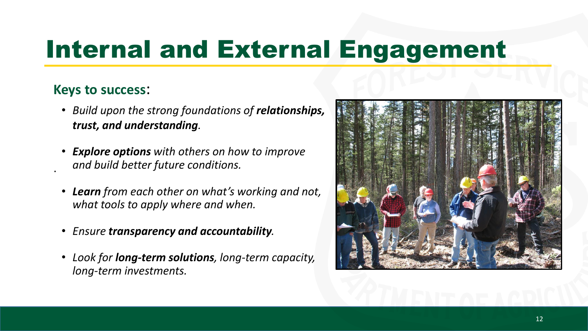### Internal and External Engagement

#### **Keys to success**:

·

- *Build upon the strong foundations of relationships, trust, and understanding.*
- *Explore options with others on how to improve and build better future conditions.*
- *Learn from each other on what's working and not, what tools to apply where and when.*
- *Ensure transparency and accountability.*
- *Look for long-term solutions, long-term capacity, long-term investments.*